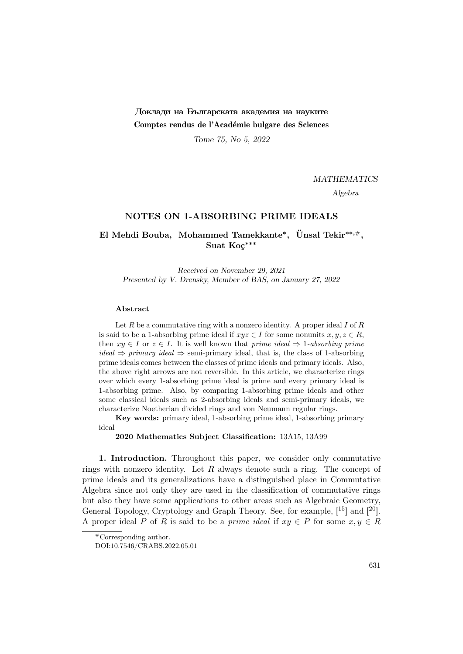# Доклади на Българската академия на науките Comptes rendus de l'Académie bulgare des Sciences

Tome 75, No 5, 2022

MATHEMATICS

Algebra

### NOTES ON 1-ABSORBING PRIME IDEALS

## El Mehdi Bouba, Mohammed Tamekkante\*, Ünsal Tekir\*\*,#, Suat Koç<sup>∗∗∗</sup>

Received on November 29, 2021 Presented by V. Drensky, Member of BAS, on January 27, 2022

### Abstract

Let  $R$  be a commutative ring with a nonzero identity. A proper ideal  $I$  of  $R$ is said to be a 1-absorbing prime ideal if  $xyz \in I$  for some nonunits  $x, y, z \in R$ , then  $xy \in I$  or  $z \in I$ . It is well known that *prime ideal*  $\Rightarrow$  1-absorbing prime  $ideal \Rightarrow primary ideal \Rightarrow semi-primary ideal$ , that is, the class of 1-absorbing prime ideals comes between the classes of prime ideals and primary ideals. Also, the above right arrows are not reversible. In this article, we characterize rings over which every 1-absorbing prime ideal is prime and every primary ideal is 1-absorbing prime. Also, by comparing 1-absorbing prime ideals and other some classical ideals such as 2-absorbing ideals and semi-primary ideals, we characterize Noetherian divided rings and von Neumann regular rings.

Key words: primary ideal, 1-absorbing prime ideal, 1-absorbing primary ideal

2020 Mathematics Subject Classification: 13A15, 13A99

1. Introduction. Throughout this paper, we consider only commutative rings with nonzero identity. Let  $R$  always denote such a ring. The concept of prime ideals and its generalizations have a distinguished place in Commutative Algebra since not only they are used in the classification of commutative rings but also they have some applications to other areas such as Algebraic Geometry, General Topology, Cryptology and Graph Theory. See, for example,  $[15]$  and  $[20]$ . A proper ideal P of R is said to be a prime ideal if  $xy \in P$  for some  $x, y \in R$ 

<sup>#</sup>Corresponding author.

DOI:10.7546/CRABS.2022.05.01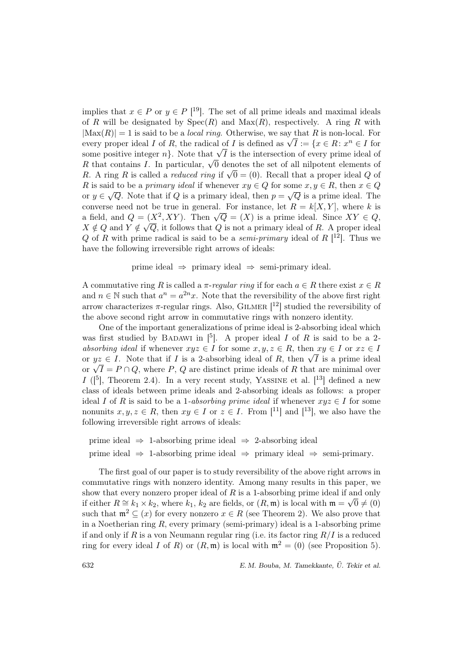implies that  $x \in P$  or  $y \in P$  [<sup>19</sup>]. The set of all prime ideals and maximal ideals of R will be designated by  $Spec(R)$  and  $Max(R)$ , respectively. A ring R with  $|Max(R)| = 1$  is said to be a *local ring*. Otherwise, we say that R is non-local. For  $|\text{max}(K)| = 1$  is said to be a *local ring*. Otherwise, we say that R is non-local. For every proper ideal I of R, the radical of I is defined as  $\sqrt{I} := \{x \in R : x^n \in I \text{ for } I\}$ every proper ideal 1 of  $R$ , the radical of 1 is defined as  $\sqrt{I} := \{x \in R : x^{\alpha} \in I \text{ for some positive integer } n\}$ . Note that  $\sqrt{I}$  is the intersection of every prime ideal of some positive integer  $n<sub>F</sub>$ . Note that  $\sqrt{I}$  is the intersection of every prime ideal of R that contains I. In particular,  $\sqrt{0}$  denotes the set of all nilpotent elements of R that contains *i*. In particular,  $\sqrt{0}$  denotes the set of an impotent elements of R. A ring R is called a *reduced ring* if  $\sqrt{0} = (0)$ . Recall that a proper ideal Q of R is said to be a primary ideal if whenever  $xy \in Q$  for some  $x, y \in R$ , then  $x \in Q$ or  $y \in$ √  $\overline{Q}$ . Note that if Q is a primary ideal, then  $p =$  $\overline{\mathbf{u}}$  $\overline{Q}$  is a prime ideal. The converse need not be true in general. For instance, let  $R = k[X, Y]$ , where k is converse need not be true in general. For instance, let  $R = \kappa [X, T]$ , where  $\kappa$  is<br>a field, and  $Q = (X^2, XY)$ . Then  $\sqrt{Q} = (X)$  is a prime ideal. Since  $XY \in Q$ ,  $X \notin Q$  and  $Y \notin$ √  $\overline{Q}$ , it follows that  $Q$  is not a primary ideal of R. A proper ideal Q of R with prime radical is said to be a *semi-primary* ideal of R  $[12]$ . Thus we have the following irreversible right arrows of ideals:

prime ideal  $\Rightarrow$  primary ideal  $\Rightarrow$  semi-primary ideal.

A commutative ring R is called a  $\pi$ -regular ring if for each  $a \in R$  there exist  $x \in R$ and  $n \in \mathbb{N}$  such that  $a^n = a^{2n}x$ . Note that the reversibility of the above first right arrow characterizes  $\pi$ -regular rings. Also, GILMER  $[12]$  studied the reversibility of the above second right arrow in commutative rings with nonzero identity.

One of the important generalizations of prime ideal is 2-absorbing ideal which was first studied by BADAWI in  $[5]$ . A proper ideal I of R is said to be a 2absorbing ideal if whenever  $xyz \in I$  for some  $x, y, z \in R$ , then  $xy \in I$  or  $xz \in I$ absorbing ideal if whenever  $xyz \in I$  for some  $x, y, z \in R$ , then  $xy \in I$  or  $xz \in I$ <br>or  $yz \in I$ . Note that if I is a 2-absorbing ideal of R, then  $\sqrt{I}$  is a prime ideal or  $yz \in I$ . Note that if I is a z-absorbing ideal or  $R$ , then  $\sqrt{I}$  is a prime ideal<br>or  $\sqrt{I} = P \cap Q$ , where P, Q are distinct prime ideals of R that are minimal over I ( $\vert$ <sup>5</sup>), Theorem 2.4). In a very recent study, YASSINE et al.  $\vert$ <sup>13</sup>) defined a new class of ideals between prime ideals and 2-absorbing ideals as follows: a proper ideal I of R is said to be a 1-absorbing prime ideal if whenever  $xyz \in I$  for some nonunits  $x, y, z \in R$ , then  $xy \in I$  or  $z \in I$ . From [<sup>11</sup>] and [<sup>13</sup>], we also have the following irreversible right arrows of ideals:

prime ideal  $\Rightarrow$  1-absorbing prime ideal  $\Rightarrow$  2-absorbing ideal prime ideal  $\Rightarrow$  1-absorbing prime ideal  $\Rightarrow$  primary ideal  $\Rightarrow$  semi-primary.

The first goal of our paper is to study reversibility of the above right arrows in commutative rings with nonzero identity. Among many results in this paper, we show that every nonzero proper ideal of R is a 1-absorbing prime ideal if and only if either  $R \cong k_1 \times k_2$ , where  $k_1, k_2$  are fields, or  $(R, \mathfrak{m})$  is local with  $\mathfrak{m} = \sqrt{0} \neq (0)$ such that  $\mathfrak{m}^2 \subseteq (x)$  for every nonzero  $x \in R$  (see Theorem 2). We also prove that in a Noetherian ring R, every primary (semi-primary) ideal is a 1-absorbing prime if and only if R is a von Neumann regular ring (i.e. its factor ring  $R/I$  is a reduced ring for every ideal I of R) or  $(R, \mathfrak{m})$  is local with  $\mathfrak{m}^2 = (0)$  (see Proposition 5).

632 E. M. Bouba, M. Tamekkante, U. Tekir et al. ¨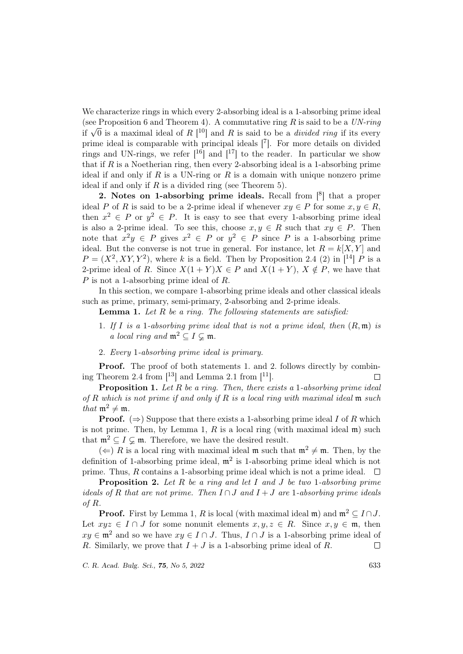We characterize rings in which every 2-absorbing ideal is a 1-absorbing prime ideal (see Proposition 6 and Theorem 4). A commutative ring R is said to be a  $UN\text{-}ring$ (see Proposition 6 and 1 neorem 4). A commutative ring R is said to be a  $UN\text{-}ring$ <br>if  $\sqrt{0}$  is a maximal ideal of R  $[$ <sup>10</sup> $]$  and R is said to be a *divided ring* if its every prime ideal is comparable with principal ideals [7]. For more details on divided rings and UN-rings, we refer  $[16]$  and  $[17]$  to the reader. In particular we show that if  $R$  is a Noetherian ring, then every 2-absorbing ideal is a 1-absorbing prime ideal if and only if  $R$  is a UN-ring or  $R$  is a domain with unique nonzero prime ideal if and only if  $R$  is a divided ring (see Theorem 5).

2. Notes on 1-absorbing prime ideals. Recall from  $\lceil 8 \rceil$  that a proper ideal P of R is said to be a 2-prime ideal if whenever  $xy \in P$  for some  $x, y \in R$ , then  $x^2 \in P$  or  $y^2 \in P$ . It is easy to see that every 1-absorbing prime ideal is also a 2-prime ideal. To see this, choose  $x, y \in R$  such that  $xy \in P$ . Then note that  $x^2y \in P$  gives  $x^2 \in P$  or  $y^2 \in P$  since P is a 1-absorbing prime ideal. But the converse is not true in general. For instance, let  $R = k[X, Y]$  and  $P = (X^2, XY, Y^2)$ , where k is a field. Then by Proposition 2.4 (2) in [<sup>14</sup>] P is a 2-prime ideal of R. Since  $X(1 + Y)X \in P$  and  $X(1 + Y)$ ,  $X \notin P$ , we have that P is not a 1-absorbing prime ideal of R.

In this section, we compare 1-absorbing prime ideals and other classical ideals such as prime, primary, semi-primary, 2-absorbing and 2-prime ideals.

**Lemma 1.** Let  $R$  be a ring. The following statements are satisfied:

- 1. If I is a 1-absorbing prime ideal that is not a prime ideal, then  $(R, \mathfrak{m})$  is a local ring and  $\mathfrak{m}^2 \subset I \subset \mathfrak{m}$ .
- 2. Every 1-absorbing prime ideal is primary.

**Proof.** The proof of both statements 1. and 2. follows directly by combining Theorem 2.4 from  $\lceil 13 \rceil$  and Lemma 2.1 from  $\lceil 11 \rceil$ .  $\Box$ 

**Proposition 1.** Let R be a ring. Then, there exists a 1-absorbing prime ideal of R which is not prime if and only if R is a local ring with maximal ideal  $\mathfrak m$  such that  $m^2 \neq m$ .

**Proof.** ( $\Rightarrow$ ) Suppose that there exists a 1-absorbing prime ideal I of R which is not prime. Then, by Lemma 1, R is a local ring (with maximal ideal  $\mathfrak{m}$ ) such that  $\mathfrak{m}^2 \subseteq I \subsetneq \mathfrak{m}$ . Therefore, we have the desired result.

 $(\Leftarrow)$  R is a local ring with maximal ideal m such that  $\mathfrak{m}^2 \neq \mathfrak{m}$ . Then, by the definition of 1-absorbing prime ideal,  $\mathfrak{m}^2$  is 1-absorbing prime ideal which is not prime. Thus, R contains a 1-absorbing prime ideal which is not a prime ideal.  $\Box$ 

**Proposition 2.** Let R be a ring and let I and J be two 1-absorbing prime ideals of R that are not prime. Then  $I \cap J$  and  $I + J$  are 1-absorbing prime ideals of R.

**Proof.** First by Lemma 1, R is local (with maximal ideal m) and  $m^2 \n\subset I \cap J$ . Let  $xyz \in I \cap J$  for some nonunit elements  $x, y, z \in R$ . Since  $x, y \in \mathfrak{m}$ , then  $xy \in \mathfrak{m}^2$  and so we have  $xy \in I \cap J$ . Thus,  $I \cap J$  is a 1-absorbing prime ideal of R. Similarly, we prove that  $I + J$  is a 1-absorbing prime ideal of R.  $\Box$ 

C. R. Acad. Bulg. Sci., 75, No 5, 2022 633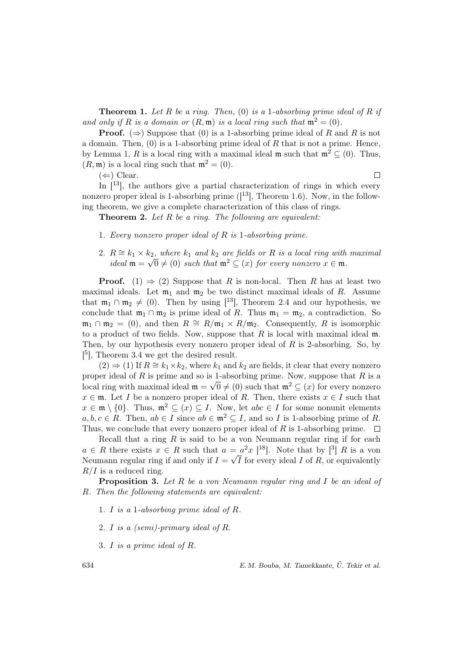**Theorem 1.** Let R be a ring. Then, (0) is a 1-absorbing prime ideal of R if and only if R is a domain or  $(R, \mathfrak{m})$  is a local ring such that  $\mathfrak{m}^2 = (0)$ .

**Proof.** ( $\Rightarrow$ ) Suppose that (0) is a 1-absorbing prime ideal of R and R is not a domain. Then,  $(0)$  is a 1-absorbing prime ideal of R that is not a prime. Hence, by Lemma 1, R is a local ring with a maximal ideal m such that  $m^2 \subseteq (0)$ . Thus,  $(R, \mathfrak{m})$  is a local ring such that  $\mathfrak{m}^2 = (0)$ .

 $(\Leftarrow)$  Clear.

 $\Box$ 

In  $[13]$ , the authors give a partial characterization of rings in which every nonzero proper ideal is 1-absorbing prime  $([13]$ , Theorem 1.6). Now, in the following theorem, we give a complete characterization of this class of rings.

**Theorem 2.** Let R be a ring. The following are equivalent:

- 1. Every nonzero proper ideal of R is 1-absorbing prime.
- 2.  $R \cong k_1 \times k_2$ , where  $k_1$  and  $k_2$  are fields or R is a local ring with maximal ideal  $\mathfrak{m} = \sqrt{0} \neq (0)$  such that  $\mathfrak{m}^2 \subseteq (x)$  for every nonzero  $x \in \mathfrak{m}$ .

**Proof.** (1)  $\Rightarrow$  (2) Suppose that R is non-local. Then R has at least two maximal ideals. Let  $m_1$  and  $m_2$  be two distinct maximal ideals of R. Assume that  $m_1 \cap m_2 \neq (0)$ . Then by using [<sup>13</sup>], Theorem 2.4 and our hypothesis, we conclude that  $\mathfrak{m}_1 \cap \mathfrak{m}_2$  is prime ideal of R. Thus  $\mathfrak{m}_1 = \mathfrak{m}_2$ , a contradiction. So  $\mathfrak{m}_1 \cap \mathfrak{m}_2 = (0)$ , and then  $R \cong R/\mathfrak{m}_1 \times R/\mathfrak{m}_2$ . Consequently, R is isomorphic to a product of two fields. Now, suppose that  $R$  is local with maximal ideal  $m$ . Then, by our hypothesis every nonzero proper ideal of R is 2-absorbing. So, by  $[5]$ , Theorem 3.4 we get the desired result.

 $(2) \Rightarrow (1)$  If  $R \cong k_1 \times k_2$ , where  $k_1$  and  $k_2$  are fields, it clear that every nonzero proper ideal of R is prime and so is 1-absorbing prime. Now, suppose that R is a local ring with maximal ideal  $\mathfrak{m} = \sqrt{0} \neq (0)$  such that  $\mathfrak{m}^2 \subseteq (x)$  for every nonzero  $x \in \mathfrak{m}$ . Let I be a nonzero proper ideal of R. Then, there exists  $x \in I$  such that  $x \in \mathfrak{m} \setminus \{0\}$ . Thus,  $\mathfrak{m}^2 \subseteq (x) \subseteq I$ . Now, let  $abc \in I$  for some nonunit elements  $a, b, c \in R$ . Then,  $ab \in I$  since  $ab \in \mathfrak{m}^2 \subseteq I$ , and so I is 1-absorbing prime of R. Thus, we conclude that every nonzero proper ideal of R is 1-absorbing prime.  $\Box$ 

Recall that a ring  $R$  is said to be a von Neumann regular ring if for each  $a \in R$  there exists  $x \in R$  such that  $a = a^2 x$  [<sup>18</sup>]. Note that by [<sup>3</sup>] R is a von Neumann regular ring if and only if  $I = \sqrt{I}$  for every ideal I of R, or equivalently  $R/I$  is a reduced ring.

Proposition 3. Let R be a von Neumann regular ring and I be an ideal of R. Then the following statements are equivalent:

- 1. I is a 1-absorbing prime ideal of R.
- 2. I is a (semi)-primary ideal of R.
- 3. I is a prime ideal of R.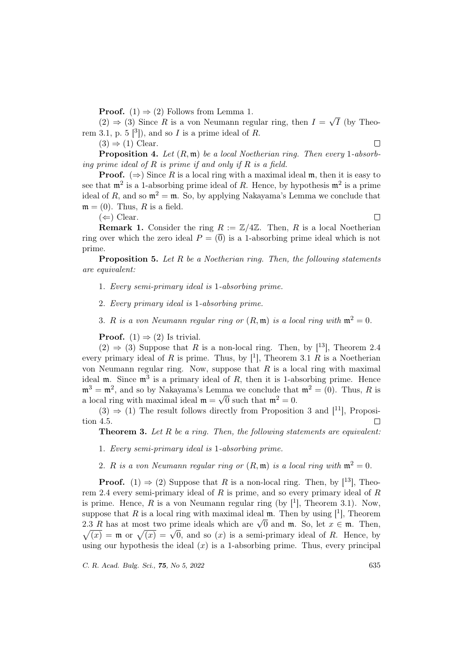**Proof.** (1)  $\Rightarrow$  (2) Follows from Lemma 1.

 $(2) \Rightarrow (3)$  Since R is a von Neumann regular ring, then  $I =$ √ I (by Theorem 3.1, p. 5  $[3]$ , and so I is a prime ideal of R.

 $(3) \Rightarrow (1)$  Clear.

 $\Box$ 

 $\Box$ 

**Proposition 4.** Let  $(R, \mathfrak{m})$  be a local Noetherian ring. Then every 1-absorbing prime ideal of  $R$  is prime if and only if  $R$  is a field.

**Proof.** ( $\Rightarrow$ ) Since R is a local ring with a maximal ideal m, then it is easy to see that  $\mathfrak{m}^2$  is a 1-absorbing prime ideal of R. Hence, by hypothesis  $\mathfrak{m}^2$  is a prime ideal of R, and so  $\mathfrak{m}^2 = \mathfrak{m}$ . So, by applying Nakayama's Lemma we conclude that  $\mathfrak{m} = (0)$ . Thus, R is a field.

 $(\Leftarrow)$  Clear.

**Remark 1.** Consider the ring  $R := \mathbb{Z}/4\mathbb{Z}$ . Then, R is a local Noetherian ring over which the zero ideal  $P = \overline{0}$  is a 1-absorbing prime ideal which is not prime.

**Proposition 5.** Let  $R$  be a Noetherian ring. Then, the following statements are equivalent:

- 1. Every semi-primary ideal is 1-absorbing prime.
- 2. Every primary ideal is 1-absorbing prime.
- 3. R is a von Neumann regular ring or  $(R, \mathfrak{m})$  is a local ring with  $\mathfrak{m}^2 = 0$ .

**Proof.** (1)  $\Rightarrow$  (2) Is trivial.

 $(2) \Rightarrow (3)$  Suppose that R is a non-local ring. Then, by [<sup>13</sup>], Theorem 2.4 every primary ideal of R is prime. Thus, by  $[1]$ , Theorem 3.1 R is a Noetherian von Neumann regular ring. Now, suppose that  $R$  is a local ring with maximal ideal  $m$ . Since  $m<sup>3</sup>$  is a primary ideal of R, then it is 1-absorbing prime. Hence  $\mathfrak{m}^3 = \mathfrak{m}^2$ , and so by Nakayama's Lemma we conclude that  $\mathfrak{m}^2 = (0)$ . Thus, R is a local ring with maximal ideal  $\mathfrak{m} = \sqrt{0}$  such that  $\mathfrak{m}^2 = 0$ .

 $(3) \Rightarrow (1)$  The result follows directly from Proposition 3 and [11], Proposition 4.5.  $\Box$ 

**Theorem 3.** Let  $R$  be a ring. Then, the following statements are equivalent:

- 1. Every semi-primary ideal is 1-absorbing prime.
- 2. R is a von Neumann regular ring or  $(R, \mathfrak{m})$  is a local ring with  $\mathfrak{m}^2 = 0$ .

**Proof.** (1)  $\Rightarrow$  (2) Suppose that R is a non-local ring. Then, by [<sup>13</sup>], Theorem 2.4 every semi-primary ideal of  $R$  is prime, and so every primary ideal of  $R$ is prime. Hence, R is a von Neumann regular ring (by  $[1]$ , Theorem 3.1). Now, suppose that R is a local ring with maximal ideal  $\mathfrak{m}$ . Then by using [1], Theorem suppose that *R* is a local ring with maximal ideal in. Then by using  $[$  |, Theorem 2.3 *R* has at most two prime ideals which are  $\sqrt{0}$  and **m**. So, let  $x \in \mathfrak{m}$ . Then, 2.5 R has at most two prime ideals which are  $\sqrt{v}$  and m. So, let  $x \in \mathfrak{m}$ . Then,  $\sqrt{x}$  =  $\mathfrak{m}$  or  $\sqrt{x}$  =  $\sqrt{0}$ , and so  $(x)$  is a semi-primary ideal of R. Hence, by using our hypothesis the ideal  $(x)$  is a 1-absorbing prime. Thus, every principal

C. R. Acad. Bulg. Sci., **75**, No 5, 2022 635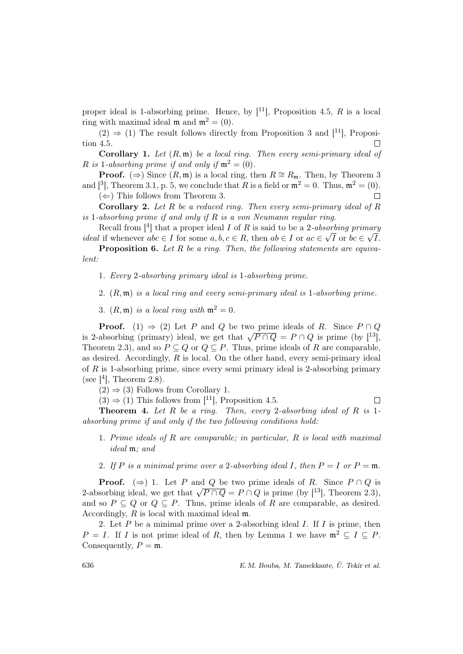proper ideal is 1-absorbing prime. Hence, by  $[11]$ , Proposition 4.5, R is a local ring with maximal ideal m and  $m^2 = (0)$ .

 $(2) \Rightarrow (1)$  The result follows directly from Proposition 3 and [11], Proposition 4.5.  $\Box$ 

**Corollary 1.** Let  $(R, \mathfrak{m})$  be a local ring. Then every semi-primary ideal of R is 1-absorbing prime if and only if  $\mathfrak{m}^2 = (0)$ .

**Proof.** (⇒) Since  $(R, \mathfrak{m})$  is a local ring, then  $R \cong R_{\mathfrak{m}}$ . Then, by Theorem 3 and  $\lbrack$ <sup>3</sup>, Theorem 3.1, p. 5, we conclude that R is a field or  $\mathfrak{m}^2 = 0$ . Thus,  $\mathfrak{m}^2 = (0)$ .

 $(\Leftarrow)$  This follows from Theorem 3.

**Corollary 2.** Let R be a reduced ring. Then every semi-primary ideal of R is 1-absorbing prime if and only if  $R$  is a von Neumann regular ring.

Recall from [<sup>4</sup>] that a proper ideal *I* of *R* is said to be a 2-*absorbing primary ideal* if whenever  $abc \in I$  for some  $a, b, c \in R$ , then  $ab \in I$  or  $ac \in \sqrt{I}$  or  $bc \in \sqrt{I}$ .

Proposition 6. Let R be a ring. Then, the following statements are equivalent:

- 1. Every 2-absorbing primary ideal is 1-absorbing prime.
- 2.  $(R, \mathfrak{m})$  is a local ring and every semi-primary ideal is 1-absorbing prime.
- 3.  $(R, \mathfrak{m})$  is a local ring with  $\mathfrak{m}^2 = 0$ .

**Proof.** (1)  $\Rightarrow$  (2) Let P and Q be two prime ideals of R. Since  $P \cap Q$ is 2-absorbing (primary) ideal, we get that  $\sqrt{P \cap Q} = P \cap Q$  is prime (by [<sup>13</sup>], Theorem 2.3), and so  $P \subseteq Q$  or  $Q \subseteq P$ . Thus, prime ideals of R are comparable, as desired. Accordingly,  $R$  is local. On the other hand, every semi-primary ideal of  $R$  is 1-absorbing prime, since every semi primary ideal is 2-absorbing primary (see  $[4]$ , Theorem 2.8).

 $(2) \Rightarrow (3)$  Follows from Corollary 1.

 $(3) \Rightarrow (1)$  This follows from [<sup>11</sup>], Proposition 4.5.  $\Box$ 

**Theorem 4.** Let R be a ring. Then, every 2-absorbing ideal of R is 1absorbing prime if and only if the two following conditions hold:

- 1. Prime ideals of R are comparable; in particular, R is local with maximal ideal m; and
- 2. If P is a minimal prime over a 2-absorbing ideal I, then  $P = I$  or  $P = \mathfrak{m}$ .

**Proof.** ( $\Rightarrow$ ) 1. Let P and Q be two prime ideals of R. Since  $P \cap Q$  is **Proof.** ( $\Rightarrow$ ) 1. Let P and Q be two prime ideals of R. since  $P \cap Q$  is  $P \cap Q$  is prime (by [<sup>13</sup>], Theorem 2.3), and so  $P \subseteq Q$  or  $Q \subseteq P$ . Thus, prime ideals of R are comparable, as desired. Accordingly, R is local with maximal ideal m.

2. Let  $P$  be a minimal prime over a 2-absorbing ideal  $I$ . If  $I$  is prime, then  $P = I$ . If I is not prime ideal of R, then by Lemma 1 we have  $\mathfrak{m}^2 \subseteq I \subseteq P$ . Consequently,  $P = \mathfrak{m}$ .

636 E. M. Bouba, M. Tamekkante, U. Tekir et al. ¨

 $\Box$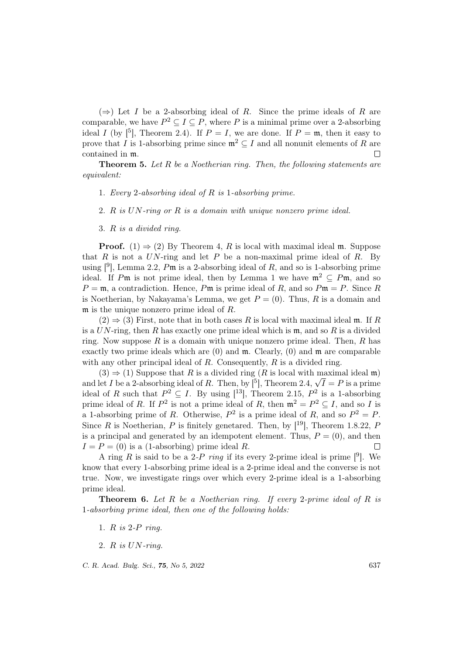$(\Rightarrow)$  Let I be a 2-absorbing ideal of R. Since the prime ideals of R are comparable, we have  $P^2 \subseteq I \subseteq P$ , where P is a minimal prime over a 2-absorbing ideal I (by  $\lbrack \cdot \rbrack^5$ ), Theorem 2.4). If  $P = I$ , we are done. If  $P = \mathfrak{m}$ , then it easy to prove that I is 1-absorbing prime since  $\mathfrak{m}^2 \subseteq I$  and all nonunit elements of R are contained in m.  $\Box$ 

**Theorem 5.** Let  $R$  be a Noetherian ring. Then, the following statements are equivalent:

- 1. Every 2-absorbing ideal of R is 1-absorbing prime.
- 2. R is UN-ring or R is a domain with unique nonzero prime ideal.
- 3. R is a divided ring.

**Proof.** (1)  $\Rightarrow$  (2) By Theorem 4, R is local with maximal ideal m. Suppose that R is not a UN-ring and let P be a non-maximal prime ideal of R. By using  $[9]$ , Lemma 2.2, Pm is a 2-absorbing ideal of R, and so is 1-absorbing prime ideal. If Pm is not prime ideal, then by Lemma 1 we have  $\mathfrak{m}^2 \subseteq P\mathfrak{m}$ , and so  $P = \mathfrak{m}$ , a contradiction. Hence, P $\mathfrak{m}$  is prime ideal of R, and so  $P \mathfrak{m} = P$ . Since R is Noetherian, by Nakayama's Lemma, we get  $P = (0)$ . Thus, R is a domain and m is the unique nonzero prime ideal of R.

 $(2) \Rightarrow (3)$  First, note that in both cases R is local with maximal ideal m. If R is a  $UN$ -ring, then R has exactly one prime ideal which is  $m$ , and so R is a divided ring. Now suppose  $R$  is a domain with unique nonzero prime ideal. Then,  $R$  has exactly two prime ideals which are  $(0)$  and  $\mathfrak{m}$ . Clearly,  $(0)$  and  $\mathfrak{m}$  are comparable with any other principal ideal of  $R$ . Consequently,  $R$  is a divided ring.

 $(3) \Rightarrow (1)$  Suppose that R is a divided ring (R is local with maximal ideal m) (3)  $\Rightarrow$  (1) suppose that *R* is a divided ring (*R* is local with maximal ideal m) and let *I* be a 2-absorbing ideal of *R*. Then, by [<sup>5</sup>], Theorem 2.4,  $\sqrt{I} = P$  is a prime ideal of R such that  $P^2 \subseteq I$ . By using [<sup>13</sup>], Theorem 2.15,  $P^2$  is a 1-absorbing prime ideal of R. If  $P^2$  is not a prime ideal of R, then  $\mathfrak{m}^2 = P^2 \subseteq I$ , and so I is a 1-absorbing prime of R. Otherwise,  $P^2$  is a prime ideal of R, and so  $P^2 = P$ . Since R is Noetherian, P is finitely genetared. Then, by  $[19]$ , Theorem 1.8.22, P is a principal and generated by an idempotent element. Thus,  $P = (0)$ , and then  $I = P = (0)$  is a (1-absorbing) prime ideal R.  $\Box$ 

A ring R is said to be a 2-P ring if its every 2-prime ideal is prime  $[9]$ . We know that every 1-absorbing prime ideal is a 2-prime ideal and the converse is not true. Now, we investigate rings over which every 2-prime ideal is a 1-absorbing prime ideal.

**Theorem 6.** Let R be a Noetherian ring. If every 2-prime ideal of R is 1-absorbing prime ideal, then one of the following holds:

- 1. R is 2-P ring.
- 2. R is UN-ring.

C. R. Acad. Bulg. Sci., **75**, No 5, 2022 637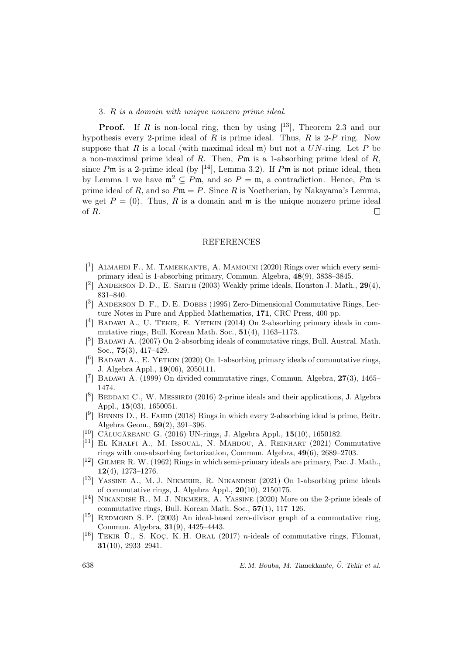#### 3. R is a domain with unique nonzero prime ideal.

**Proof.** If R is non-local ring, then by using  $[13]$ , Theorem 2.3 and our hypothesis every 2-prime ideal of  $R$  is prime ideal. Thus,  $R$  is 2- $P$  ring. Now suppose that R is a local (with maximal ideal  $\mathfrak{m}$ ) but not a UN-ring. Let P be a non-maximal prime ideal of R. Then, Pm is a 1-absorbing prime ideal of R. since  $P\mathfrak{m}$  is a 2-prime ideal (by  $[14]$ , Lemma 3.2). If  $P\mathfrak{m}$  is not prime ideal, then by Lemma 1 we have  $\mathfrak{m}^2 \subseteq P\mathfrak{m}$ , and so  $P = \mathfrak{m}$ , a contradiction. Hence, P $\mathfrak{m}$  is prime ideal of R, and so  $Pm = P$ . Since R is Noetherian, by Nakayama's Lemma, we get  $P = (0)$ . Thus, R is a domain and  $\mathfrak{m}$  is the unique nonzero prime ideal of R.  $\Box$ 

### REFERENCES

- [<sup>1</sup>] ALMAHDI F., M. TAMEKKANTE, A. MAMOUNI (2020) Rings over which every semiprimary ideal is 1-absorbing primary, Commun. Algebra, 48(9), 3838–3845.
- $[$ <sup>2</sup>] ANDERSON D.D., E. SMITH  $(2003)$  Weakly prime ideals, Houston J. Math.,  $29(4)$ , 831–840.
- [<sup>3</sup>] ANDERSON D. F., D. E. DOBBS (1995) Zero-Dimensional Commutative Rings, Lecture Notes in Pure and Applied Mathematics, 171, CRC Press, 400 pp.
- $[$ <sup>4</sup>] BADAWI A., U. TEKIR, E. YETKIN (2014) On 2-absorbing primary ideals in commutative rings, Bull. Korean Math. Soc., 51(4), 1163–1173.
- [<sup>5</sup>] BADAWI A. (2007) On 2-absorbing ideals of commutative rings, Bull. Austral. Math. Soc., 75(3), 417–429.
- $[6]$  BADAWI A., E. YETKIN (2020) On 1-absorbing primary ideals of commutative rings, J. Algebra Appl., 19(06), 2050111.
- [ $7$ ] BADAWI A. (1999) On divided commutative rings, Commun. Algebra,  $27(3)$ , 1465– 1474.
- $[8]$  BEDDANI C., W. MESSIRDI (2016) 2-prime ideals and their applications, J. Algebra Appl., 15(03), 1650051.
- $[$ <sup>9</sup>] BENNIS D., B. FAHID (2018) Rings in which every 2-absorbing ideal is prime, Beitr. Algebra Geom., 59(2), 391–396.
- $[$ <sup>10</sup>] CĂLUGĂREANU G.  $(2016)$  UN-rings, J. Algebra Appl., 15 $(10)$ , 1650182.
- [ <sup>11</sup>] El Khalfi A., M. Issoual, N. Mahdou, A. Reinhart (2021) Commutative rings with one-absorbing factorization, Commun. Algebra, 49(6), 2689–2703.
- [<sup>12</sup>] GILMER R. W. (1962) Rings in which semi-primary ideals are primary, Pac. J. Math., 12(4), 1273–1276.
- [<sup>13</sup>] YASSINE A., M. J. NIKMEHR, R. NIKANDISH (2021) On 1-absorbing prime ideals of commutative rings, J. Algebra Appl., 20(10), 2150175.
- [ <sup>14</sup>] Nikandish R., M. J. Nikmehr, A. Yassine (2020) More on the 2-prime ideals of commutative rings, Bull. Korean Math. Soc., 57(1), 117–126.
- $[$ <sup>15</sup>] REDMOND S. P. (2003) An ideal-based zero-divisor graph of a commutative ring, Commun. Algebra, 31(9), 4425–4443.
- $[$ <sup>16</sup>] TEKIR Ü., S. KOÇ, K.H. ORAL  $(2017)$  *n*-ideals of commutative rings, Filomat, 31(10), 2933–2941.